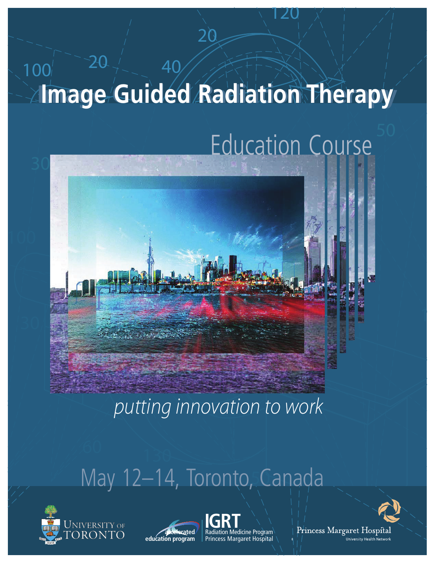# $100^{120}$   $100^{120}$  $100^{112}$ **Image Guided RadiationTherapy Image Guided Radiation Therapy**

 $\frac{20}{2}$ 

20

# **Education Course**

 $\sim$  29, 2006 Toronto, Canada and Canada and Canada and Canada and Canada and Canada and Canada and Canada and Canada and Canada and Canada and Canada and Canada and Canada and Canada and Canada and Canada and Canada and

120



putting innovation to work

## May 12-14, Toronto, Canada









1<br>1<br>1<br>1

University Health Network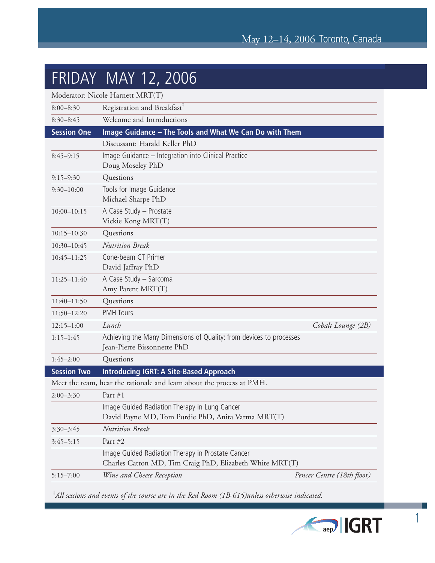#### FRIDAY MAY 12, 2006

| Registration and Breakfast <sup>1</sup><br>$8:00 - 8:30$<br>Welcome and Introductions<br>$8:30 - 8:45$<br>Image Guidance - The Tools and What We Can Do with Them<br><b>Session One</b><br>Discussant: Harald Keller PhD<br>Image Guidance - Integration into Clinical Practice<br>$8:45 - 9:15$<br>Doug Moseley PhD<br>Questions<br>$9:15 - 9:30$<br>Tools for Image Guidance<br>$9:30 - 10:00$<br>Michael Sharpe PhD<br>A Case Study - Prostate<br>$10:00 - 10:15$<br>Vickie Kong MRT(T)<br>Questions<br>$10:15 - 10:30$<br><b>Nutrition Break</b><br>$10:30 - 10:45$<br>Cone-beam CT Primer<br>$10:45 - 11:25$<br>David Jaffray PhD |
|----------------------------------------------------------------------------------------------------------------------------------------------------------------------------------------------------------------------------------------------------------------------------------------------------------------------------------------------------------------------------------------------------------------------------------------------------------------------------------------------------------------------------------------------------------------------------------------------------------------------------------------|
|                                                                                                                                                                                                                                                                                                                                                                                                                                                                                                                                                                                                                                        |
|                                                                                                                                                                                                                                                                                                                                                                                                                                                                                                                                                                                                                                        |
|                                                                                                                                                                                                                                                                                                                                                                                                                                                                                                                                                                                                                                        |
|                                                                                                                                                                                                                                                                                                                                                                                                                                                                                                                                                                                                                                        |
|                                                                                                                                                                                                                                                                                                                                                                                                                                                                                                                                                                                                                                        |
|                                                                                                                                                                                                                                                                                                                                                                                                                                                                                                                                                                                                                                        |
|                                                                                                                                                                                                                                                                                                                                                                                                                                                                                                                                                                                                                                        |
|                                                                                                                                                                                                                                                                                                                                                                                                                                                                                                                                                                                                                                        |
|                                                                                                                                                                                                                                                                                                                                                                                                                                                                                                                                                                                                                                        |
|                                                                                                                                                                                                                                                                                                                                                                                                                                                                                                                                                                                                                                        |
|                                                                                                                                                                                                                                                                                                                                                                                                                                                                                                                                                                                                                                        |
| A Case Study - Sarcoma<br>$11:25 - 11:40$<br>Amy Parent MRT(T)                                                                                                                                                                                                                                                                                                                                                                                                                                                                                                                                                                         |
| Questions<br>$11:40-11:50$                                                                                                                                                                                                                                                                                                                                                                                                                                                                                                                                                                                                             |
| <b>PMH Tours</b><br>$11:50 - 12:20$                                                                                                                                                                                                                                                                                                                                                                                                                                                                                                                                                                                                    |
| Lunch<br>Cobalt Lounge (2B)<br>$12:15 - 1:00$                                                                                                                                                                                                                                                                                                                                                                                                                                                                                                                                                                                          |
| Achieving the Many Dimensions of Quality: from devices to processes<br>$1:15 - 1:45$<br>Jean-Pierre Bissonnette PhD                                                                                                                                                                                                                                                                                                                                                                                                                                                                                                                    |
| $1:45 - 2:00$<br>Questions                                                                                                                                                                                                                                                                                                                                                                                                                                                                                                                                                                                                             |
| <b>Session Two</b><br><b>Introducing IGRT: A Site-Based Approach</b>                                                                                                                                                                                                                                                                                                                                                                                                                                                                                                                                                                   |
| Meet the team, hear the rationale and learn about the process at PMH.                                                                                                                                                                                                                                                                                                                                                                                                                                                                                                                                                                  |
| Part #1<br>$2:00 - 3:30$                                                                                                                                                                                                                                                                                                                                                                                                                                                                                                                                                                                                               |
| Image Guided Radiation Therapy in Lung Cancer<br>David Payne MD, Tom Purdie PhD, Anita Varma MRT(T)                                                                                                                                                                                                                                                                                                                                                                                                                                                                                                                                    |
| <b>Nutrition Break</b><br>$3:30-3:45$                                                                                                                                                                                                                                                                                                                                                                                                                                                                                                                                                                                                  |
| Part #2<br>$3:45 - 5:15$                                                                                                                                                                                                                                                                                                                                                                                                                                                                                                                                                                                                               |
| Image Guided Radiation Therapy in Prostate Cancer<br>Charles Catton MD, Tim Craig PhD, Elizabeth White MRT(T)                                                                                                                                                                                                                                                                                                                                                                                                                                                                                                                          |
| Wine and Cheese Reception<br>Pencer Centre (18th floor)<br>$5:15 - 7:00$                                                                                                                                                                                                                                                                                                                                                                                                                                                                                                                                                               |

‡ *All sessions and events of the course are in the Red Room (1B-615)unless otherwise indicated.*



1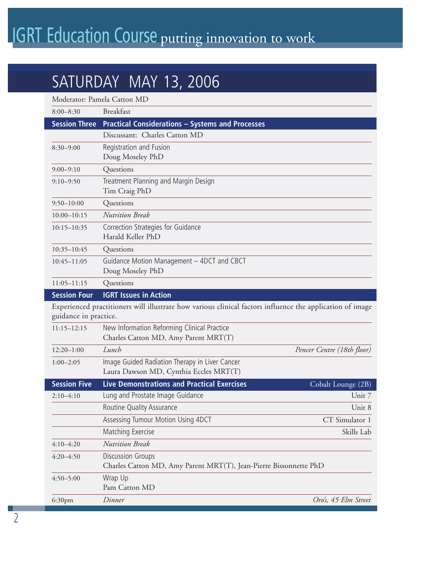## **IGRT Education Course putting innovation to work**

### SATURDAY MAY 13, 2006

| Moderator: Pamela Catton MD                                                                                                        |                                                                                               |                            |
|------------------------------------------------------------------------------------------------------------------------------------|-----------------------------------------------------------------------------------------------|----------------------------|
| $8:00 - 8:30$                                                                                                                      | <b>Breakfast</b>                                                                              |                            |
| <b>Session Three</b>                                                                                                               | <b>Practical Considerations - Systems and Processes</b>                                       |                            |
|                                                                                                                                    | Discussant: Charles Catton MD                                                                 |                            |
| $8:30 - 9:00$                                                                                                                      | Registration and Fusion<br>Doug Moseley PhD                                                   |                            |
| $9:00 - 9:10$                                                                                                                      | Questions                                                                                     |                            |
| $9:10 - 9:50$                                                                                                                      | Treatment Planning and Margin Design<br>Tim Craig PhD                                         |                            |
| $9:50 - 10:00$                                                                                                                     | Questions                                                                                     |                            |
| $10:00 - 10:15$                                                                                                                    | <b>Nutrition Break</b>                                                                        |                            |
| $10:15 - 10:35$                                                                                                                    | Correction Strategies for Guidance<br>Harald Keller PhD                                       |                            |
| 10:35-10:45                                                                                                                        | Questions                                                                                     |                            |
| $10:45 - 11:05$                                                                                                                    | Guidance Motion Management - 4DCT and CBCT<br>Doug Moseley PhD                                |                            |
| $11:05 - 11:15$                                                                                                                    | Questions                                                                                     |                            |
| <b>Session Four</b>                                                                                                                | <b>IGRT Issues in Action</b>                                                                  |                            |
| Experienced practitioners will illustrate how various clinical factors influence the application of image<br>guidance in practice. |                                                                                               |                            |
| $11:15 - 12:15$                                                                                                                    | New Information Reforming Clinical Practice<br>Charles Catton MD, Amy Parent MRT(T)           |                            |
| $12:20 - 1:00$                                                                                                                     | Lunch                                                                                         | Pencer Centre (18th floor) |
| $1:00 - 2:05$                                                                                                                      | Image Guided Radiation Therapy in Liver Cancer<br>Laura Dawson MD, Cynthia Eccles MRT(T)      |                            |
| <b>Session Five</b>                                                                                                                | <b>Live Demonstrations and Practical Exercises</b>                                            | Cobalt Lounge (2B)         |
| $2:10-4:10$                                                                                                                        | Lung and Prostate Image Guidance                                                              | Unit 7                     |
|                                                                                                                                    | Routine Quality Assurance                                                                     | Unit 8                     |
|                                                                                                                                    | Assessing Tumour Motion Using 4DCT                                                            | CT Simulator 1             |
|                                                                                                                                    | Matching Exercise                                                                             | Skills Lab                 |
| $4:10 - 4:20$                                                                                                                      | <b>Nutrition Break</b>                                                                        |                            |
| $4:20 - 4:50$                                                                                                                      | <b>Discussion Groups</b><br>Charles Catton MD, Amy Parent MRT(T), Jean-Pierre Bissonnette PhD |                            |
| $4:50 - 5:00$                                                                                                                      | Wrap Up<br>Pam Catton MD                                                                      |                            |
| 6:30 <sub>pm</sub>                                                                                                                 | Dinner                                                                                        | Oro's, 45 Elm Street       |